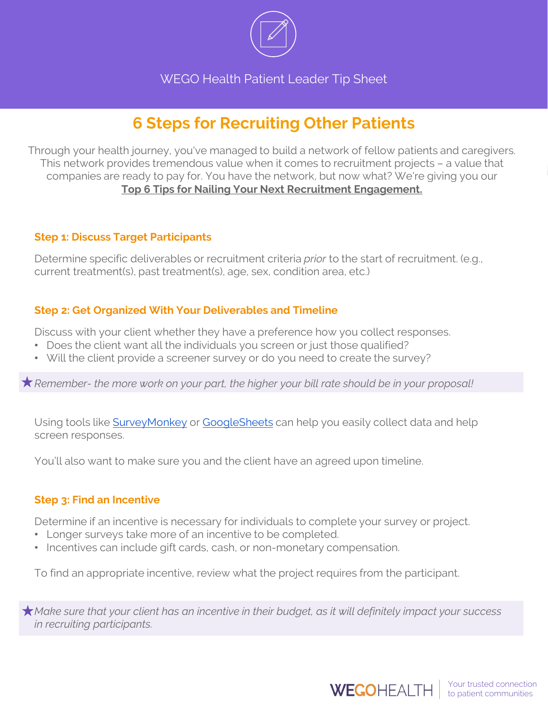

WEGO Health Patient Leader Tip Sheet

# **6 Steps for Recruiting Other Patients**

Through your health journey, you've managed to build a network of fellow patients and caregivers. This network provides tremendous value when it comes to recruitment projects – a value that companies are ready to pay for. You have the network, but now what? We're giving you our **Top 6 Tips for Nailing Your Next Recruitment Engagement.**

## **Step 1: Discuss Target Participants**

Determine specific deliverables or recruitment criteria *prior* to the start of recruitment. (e.g., current treatment(s), past treatment(s), age, sex, condition area, etc.)

# **Step 2: Get Organized With Your Deliverables and Timeline**

Discuss with your client whether they have a preference how you collect responses.

- Does the client want all the individuals you screen or just those qualified?
- Will the client provide a screener survey or do you need to create the survey?

*Remember- the more work on your part, the higher your bill rate should be in your proposal!*

Using tools like **SurveyMonkey or [GoogleSheets](https://www.google.com/sheets/about/)** can help you easily collect data and help screen responses.

You'll also want to make sure you and the client have an agreed upon timeline.

## **Step 3: Find an Incentive**

Determine if an incentive is necessary for individuals to complete your survey or project.

- Longer surveys take more of an incentive to be completed.
- Incentives can include gift cards, cash, or non-monetary compensation.

To find an appropriate incentive, review what the project requires from the participant.

*Make sure that your client has an incentive in their budget, as it will definitely impact your success in recruiting participants.*